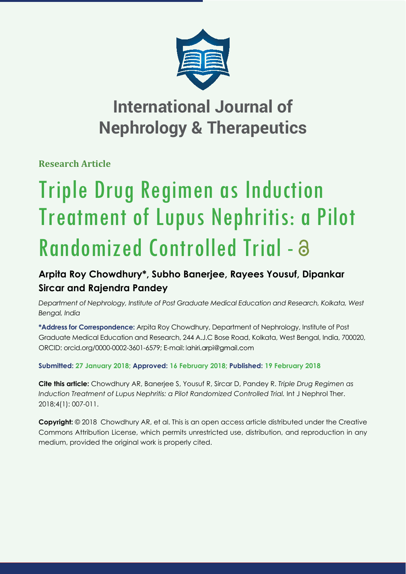

# **International Journal of Nephrology & Therapeutics**

**Research Article**

# Triple Drug Regimen as Induction Treatment of Lupus Nephritis: a Pilot Randomized Controlled Trial -

# **Arpita Roy Chowdhury\*, Subho Banerjee, Rayees Yousuf, Dipankar Sircar and Rajendra Pandey**

*Department of Nephrology, Institute of Post Graduate Medical Education and Research, Kolkata, West Bengal, India*

**\*Address for Correspondence:** Arpita Roy Chowdhury, Department of Nephrology, Institute of Post Graduate Medical Education and Research, 244 A.J.C Bose Road, Kolkata, West Bengal, India, 700020, ORCID: orcid.org/0000-0002-3601-6579; E-mail:

**Submitted: 27 January 2018; Approved: 16 February 2018; Published: 19 February 2018**

**Cite this article:** Chowdhury AR, Banerjee S, Yousuf R, Sircar D, Pandey R. *Triple Drug Regimen as Induction Treatment of Lupus Nephritis: a Pilot Randomized Controlled Trial.* Int J Nephrol Ther. 2018;4(1): 007-011.

**Copyright:** © 2018 Chowdhury AR, et al. This is an open access article distributed under the Creative Commons Attribution License, which permits unrestricted use, distribution, and reproduction in any medium, provided the original work is properly cited.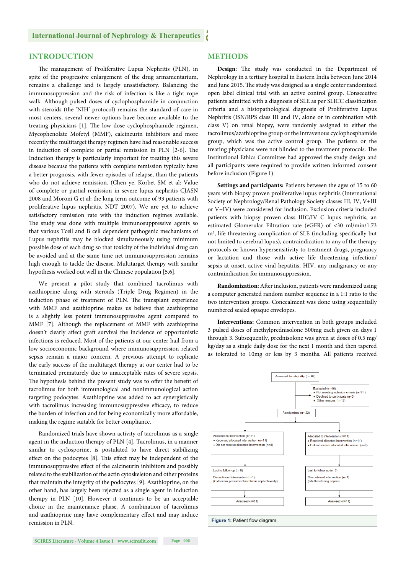#### **International Journal of Nephrology & Therapeutics**

## **INTRODUCTION**

The management of Proliferative Lupus Nephritis (PLN), in spite of the progressive enlargement of the drug armamentarium, remains a challenge and is largely unsatisfactory. Balancing the immunosuppression and the risk of infection is like a tight rope walk. Although pulsed doses of cyclophosphamide in conjunction with steroids (the 'NIH' protocol) remains the standard of care in most centers, several newer options have become available to the treating physicians [1]. The low dose cyclophosphamide regimen, Mycophenolate Mofetyl (MMF), calcineurin inhibitors and more recently the multitarget therapy regimen have had reasonable success in induction of complete or partial remission in PLN  $[2-6]$ . The Induction therapy is particularly important for treating this severe disease because the patients with complete remission typically have a better prognosis, with fewer episodes of relapse, than the patients who do not achieve remission. (Chen ye, Korbet SM et al: Value of complete or partial remission in severe lupus nephritis CJASN 2008 and Moroni G et al: the long term outcome of 93 patients with proliferative lupus nephritis. NDT 2007). We are yet to achieve satisfactory remission rate with the induction regimes available. The study was done with multiple immunosuppressive agents so that various Tcell and B cell dependent pathogenic mechanisms of Lupus nephritis may be blocked simultaneously using minimum possible dose of each drug so that toxicity of the individual drug can be avoided and at the same time net immunosuppression remains high enough to tackle the disease. Multitarget therapy with similar hypothesis worked out well in the Chinese population [5,6].

We present a pilot study that combined tacrolimus with azathioprine along with steroids (Triple Drug Regimen) in the induction phase of treatment of PLN. The transplant experience with MMF and azathioprine makes us believe that azathioprine is a slightly less potent immunosuppressive agent compared to MMF [7]. Although the replacement of MMF with azathioprine doesn't clearly affect graft survival the incidence of opportunistic infections is reduced. Most of the patients at our center hail from a low socioeconomic background where immunosuppression related sepsis remain a major concern. A previous attempt to replicate the early success of the multitarget therapy at our center had to be terminated prematurely due to unacceptable rates of severe sepsis. The hypothesis behind the present study was to offer the benefit of tacrolimus for both immunological and nonimmunological action targeting podocytes. Azathioprine was added to act synergistically with tacrolimus increasing immunosuppressive efficacy, to reduce the burden of infection and for being economically more affordable, making the regime suitable for better compliance.

Randomized trials have shown activity of tacrolimus as a single agent in the induction therapy of PLN [4]. Tacrolimus, in a manner similar to cyclosporine, is postulated to have direct stabilizing effect on the podocytes [8]. This effect may be independent of the immunosuppressive effect of the calcineurin inhibitors and possibly related to the stabilization of the actin cytoskeleton and other proteins that maintain the integrity of the podocytes [9]. Azathioprine, on the other hand, has largely been rejected as a single agent in induction therapy in PLN [10]. However it continues to be an acceptable choice in the maintenance phase. A combination of tacrolimus and azathioprine may have complementary effect and may induce remission in PLN.

### **METHODS**

Design: The study was conducted in the Department of Nephrology in a tertiary hospital in Eastern India between June 2014 and June 2015. The study was designed as a single center randomized open label clinical trial with an active control group. Consecutive patients admitted with a diagnosis of SLE as per SLICC classification criteria and a histopathological diagnosis of Proliferative Lupus Nephritis (ISN/RPS class III and IV, alone or in combination with class V) on renal biopsy, were randomly assigned to either the tacrolimus/azathioprine group or the intravenous cyclophosphamide group, which was the active control group. The patients or the treating physicians were not blinded to the treatment protocols. The Institutional Ethics Committee had approved the study design and all participants were required to provide written informed consent before inclusion (Figure 1).

**Settings and participants:** Patients between the ages of 15 to 60 years with biopsy proven proliferative lupus nephritis (International Society of Nephrology/Renal Pathology Society classes III, IV, V+III or V+IV) were considered for inclusion. Exclusion criteria included patients with biopsy proven class IIIC/IV C lupus nephritis, an estimated Glomerular Filtration rate (eGFR) of <30 ml/min/1.73 m<sup>2</sup>, life threatening complication of SLE (including specifically but not limited to cerebral lupus), contraindication to any of the therapy protocols or known hypersensitivity to treatment drugs, pregnancy or lactation and those with active life threatening infection/ sepsis at onset, active viral hepatitis, HIV, any malignancy or any contraindication for immunosuppression.

**Randomization:** After inclusion, patients were randomized using a computer generated random number sequence in a 1:1 ratio to the two intervention groups. Concealment was done using sequentially numbered sealed opaque envelopes.

**Interventions:** Common intervention in both groups included 3 pulsed doses of methylprednisolone 500mg each given on days 1 through 3. Subsequently, prednisolone was given at doses of 0.5 mg/ kg/day as a single daily dose for the next 1 month and then tapered as tolerated to 10mg or less by 3 months. All patients received

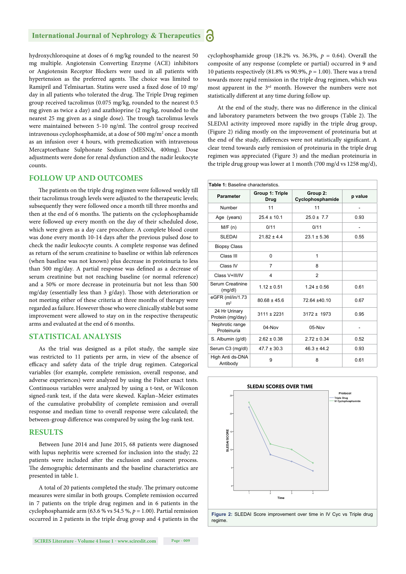#### **International Journal of Nephrology & Therapeutics** Ы

hydroxychloroquine at doses of 6 mg/kg rounded to the nearest 50 mg multiple. Angiotensin Converting Enzyme (ACE) inhibitors or Angiotensin Receptor Blockers were used in all patients with hypertension as the preferred agents. The choice was limited to Ramipril and Telmisartan. Statins were used a fixed dose of 10 mg/ day in all patients who tolerated the drug. The Triple Drug regimen group received tacrolimus (0.075 mg/kg, rounded to the nearest 0.5 mg given as twice a day) and azathioprine (2 mg/kg, rounded to the nearest 25 mg given as a single dose). The trough tacrolimus levels were maintained between 5-10 ng/ml. The control group received intravenous cyclophosphamide, at a dose of 500 mg/m<sup>2</sup> once a month as an infusion over 4 hours, with premedication with intravenous Mercaptoethane Sulphonate Sodium (MESNA, 400mg). Dose adjustments were done for renal dysfunction and the nadir leukocyte counts.

### **FOLLOW UP AND OUTCOMES**

The patients on the triple drug regimen were followed weekly till their tacrolimus trough levels were adjusted to the therapeutic levels; subsequently they were followed once a month till three months and then at the end of 6 months. The patients on the cyclophosphamide were followed up every month on the day of their scheduled dose, which were given as a day care procedure. A complete blood count was done every month 10-14 days after the previous pulsed dose to check the nadir leukocyte counts. A complete response was defined as return of the serum creatinine to baseline or within lab references (when baseline was not known) plus decrease in proteinuria to less than 500 mg/day. A partial response was defined as a decrease of serum creatinine but not reaching baseline (or normal reference) and a 50% or more decrease in proteinuria but not less than 500 mg/day (essentially less than  $3$  g/day). Those with deterioration or not meeting either of these criteria at three months of therapy were regarded as failure. However those who were clinically stable but some improvement were allowed to stay on in the respective therapeutic arms and evaluated at the end of 6 months.

#### **STATISTICAL ANALYSIS**

As the trial was designed as a pilot study, the sample size was restricted to 11 patients per arm, in view of the absence of efficacy and safety data of the triple drug regimen. Categorical variables (for example, complete remission, overall response, and adverse experiences) were analyzed by using the Fisher exact tests. Continuous variables were analyzed by using a t-test, or Wilcoxon signed-rank test, if the data were skewed. Kaplan–Meier estimates of the cumulative probability of complete remission and overall response and median time to overall response were calculated; the between-group difference was compared by using the log-rank test.

#### **RESULTS**

Between June 2014 and June 2015, 68 patients were diagnosed with lupus nephritis were screened for inclusion into the study; 22 patients were included after the exclusion and consent process. The demographic determinants and the baseline characteristics are presented in table 1.

A total of 20 patients completed the study. The primary outcome measures were similar in both groups. Complete remission occurred in 7 patients on the triple drug regimen and in 6 patients in the cyclophosphamide arm (63.6 % vs 54.5 %, *p* = 1.00). Partial remission occurred in 2 patients in the triple drug group and 4 patients in the cyclophosphamide group (18.2% vs. 36.3%,  $p = 0.64$ ). Overall the composite of any response (complete or partial) occurred in 9 and 10 patients respectively (81.8% vs 90.9%,  $p = 1.00$ ). There was a trend towards more rapid remission in the triple drug regimen, which was most apparent in the 3rd month. However the numbers were not statistically different at any time during follow up.

At the end of the study, there was no difference in the clinical and laboratory parameters between the two groups (Table 2). The SLEDAI activity improved more rapidly in the triple drug group, (Figure 2) riding mostly on the improvement of proteinuria but at the end of the study, differences were not statistically significant. A clear trend towards early remission of proteinuria in the triple drug regimen was appreciated (Figure 3) and the median proteinuria in the triple drug group was lower at 1 month (700 mg/d vs 1258 mg/d),

| Table 1: Baseline characteristics. |                                |                              |                |  |
|------------------------------------|--------------------------------|------------------------------|----------------|--|
| <b>Parameter</b>                   | Group 1: Triple<br><b>Drug</b> | Group 2:<br>Cyclophosphamide | p value        |  |
| Number                             | 11                             | 11                           | $\overline{a}$ |  |
| Age (years)                        | $25.4 \pm 10.1$                | $25.0 \pm 7.7$               | 0.93           |  |
| M/F(n)                             | 0/11                           | 0/11                         | $\overline{a}$ |  |
| <b>SLEDAI</b>                      | $21.82 \pm 4.4$                | $23.1 \pm 5.36$              | 0.55           |  |
| <b>Biopsy Class</b>                |                                |                              |                |  |
| Class III                          | $\Omega$                       | 1                            |                |  |
| Class IV                           | 7                              | 8                            |                |  |
| Class V+III/IV                     | 4                              | $\overline{2}$               |                |  |
| Serum Creatinine<br>(mg/dl)        | $1.12 \pm 0.51$                | $1.24 \pm 0.56$              | 0.61           |  |
| eGFR (ml/in/1.73<br>m <sup>2</sup> | $80.68 \pm 45.6$               | 72.64 ±40.10                 | 0.67           |  |
| 24 Hr Urinary<br>Protein (mg/day)  | $3111 \pm 2231$                | $3172 \pm 1973$              | 0.95           |  |
| Nephrotic range<br>Proteinuria     | 04-Nov                         | 05-Nov                       |                |  |
| S. Albumin (g/dl)                  | $2.62 \pm 0.38$                | $2.72 \pm 0.34$              | 0.52           |  |
| Serum C3 (mg/dl)                   | $47.7 \pm 30.3$                | $46.3 \pm 44.2$              | 0.93           |  |
| High Anti ds-DNA<br>Antibody       | 9                              | 8                            | 0.61           |  |

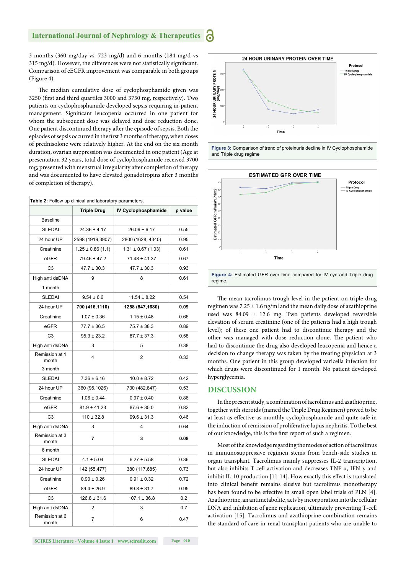#### **International Journal of Nephrology & Therapeutics** Ы

3 months (360 mg/day vs. 723 mg/d) and 6 months (184 mg/d vs 315 mg/d). However, the differences were not statistically significant. Comparison of eEGFR improvement was comparable in both groups (Figure 4).

The median cumulative dose of cyclophosphamide given was 3250 (first and third quartiles 3000 and 3750 mg, respectively). Two patients on cyclophosphamide developed sepsis requiring in-patient management. Significant leucopenia occurred in one patient for whom the subsequent dose was delayed and dose reduction done. One patient discontinued therapy after the episode of sepsis. Both the episodes of sepsis occurred in the first 3 months of therapy, when doses of prednisolone were relatively higher. At the end on the six month duration, ovarian suppression was documented in one patient (Age at presentation 32 years, total dose of cyclophosphamide received 3700 mg; presented with menstrual irregularity after completion of therapy and was documented to have elevated gonadotropins after 3 months of completion of therapy).

| Table 2: Follow up clinical and laboratory parameters. |                       |                        |         |  |  |
|--------------------------------------------------------|-----------------------|------------------------|---------|--|--|
|                                                        | <b>Triple Drug</b>    | IV Cyclophosphamide    | p value |  |  |
| <b>Baseline</b>                                        |                       |                        |         |  |  |
| <b>SLEDAI</b>                                          | $24.36 \pm 4.17$      | $26.09 \pm 6.17$       | 0.55    |  |  |
| 24 hour UP                                             | 2598 (1919,3907)      | 2800 (1628, 4340)      | 0.95    |  |  |
| Creatinine                                             | $1.25 \pm 0.86$ (1.1) | $1.31 \pm 0.67$ (1.03) | 0.61    |  |  |
| eGFR                                                   | $79.46 \pm 47.2$      | $71.48 \pm 41.37$      | 0.67    |  |  |
| C <sub>3</sub>                                         | $47.7 \pm 30.3$       | $47.7 \pm 30.3$        | 0.93    |  |  |
| High anti dsDNA                                        | 9                     | 8                      | 0.61    |  |  |
| 1 month                                                |                       |                        |         |  |  |
| <b>SLEDAI</b>                                          | $9.54 \pm 6.6$        | $11.54 \pm 8.22$       | 0.54    |  |  |
| 24 hour UP                                             | 700 (416,1110)        | 1258 (847,1680)        | 0.09    |  |  |
| Creatinine                                             | $1.07 \pm 0.36$       | $1.15 \pm 0.48$        | 0.66    |  |  |
| eGFR                                                   | $77.7 \pm 36.5$       | $75.7 \pm 38.3$        | 0.89    |  |  |
| C <sub>3</sub>                                         | $95.3 \pm 23.2$       | $87.7 \pm 37.3$        | 0.58    |  |  |
| High anti dsDNA                                        | 3                     | 5                      | 0.38    |  |  |
| Remission at 1<br>month                                | 4                     | $\overline{2}$         | 0.33    |  |  |
| 3 month                                                |                       |                        |         |  |  |
| <b>SLEDAI</b>                                          | $7.36 \pm 6.16$       | $10.0 \pm 8.72$        | 0.42    |  |  |
| 24 hour UP                                             | 360 (95,1026)         | 730 (482.847)          | 0.53    |  |  |
| Creatinine                                             | $1.06 \pm 0.44$       | $0.97 \pm 0.40$        | 0.86    |  |  |
| eGFR                                                   | $81.9 \pm 41.23$      | $87.6 \pm 35.0$        | 0.82    |  |  |
| C <sub>3</sub>                                         | $110 \pm 32.8$        | $99.6 \pm 31.3$        | 0.46    |  |  |
| High anti dsDNA                                        | 3                     | 4                      | 0.64    |  |  |
| Remission at 3<br>month                                | 7                     | 3                      | 0.08    |  |  |
| 6 month                                                |                       |                        |         |  |  |
| <b>SLEDAI</b>                                          | $4.1 \pm 5.04$        | $6.27 \pm 5.58$        | 0.36    |  |  |
| 24 hour UP                                             | 142 (55,477)          | 380 (117,685)          | 0.73    |  |  |
| Creatinine                                             | $0.90 \pm 0.26$       | $0.91 \pm 0.32$        | 0.72    |  |  |
| eGFR                                                   | $89.4 \pm 26.9$       | $89.8 \pm 31.7$        | 0.95    |  |  |
| C <sub>3</sub>                                         | $126.8 \pm 31.6$      | $107.1 \pm 36.8$       | 0.2     |  |  |
| High anti dsDNA                                        | $\overline{2}$        | 3                      | 0.7     |  |  |
| Remission at 6<br>month                                | 7                     | 6                      | 0.47    |  |  |







The mean tacrolimus trough level in the patient on triple drug regimen was  $7.25 \pm 1.6$  ng/ml and the mean daily dose of azathioprine used was 84.09 ± 12.6 mg. Two patients developed reversible elevation of serum creatinine (one of the patients had a high trough level); of these one patient had to discontinue therapy and the other was managed with dose reduction alone. The patient who had to discontinue the drug also developed leucopenia and hence a decision to change therapy was taken by the treating physician at 3 months. One patient in this group developed varicella infection for which drugs were discontinued for 1 month. No patient developed hyperglycemia.

#### **DISCUSSION**

In the present study, a combination of tacrolimus and azathioprine, together with steroids (named the Triple Drug Regimen) proved to be at least as effective as monthly cyclophosphamide and quite safe in the induction of remission of proliferative lupus nephritis. To the best of our knowledge, this is the first report of such a regimen.

Most of the knowledge regarding the modes of action of tacrolimus in immunosuppressive regimen stems from bench-side studies in organ transplant. Tacrolimus mainly suppresses IL-2 transcription, but also inhibits T cell activation and decreases TNF-α, IFN-γ and inhibit IL-10 production [11-14]. How exactly this effect is translated into clinical benefit remains elusive but tacrolimus monotherapy has been found to be effective in small open label trials of PLN [4]. Azathioprine, an antimetabolite, acts by incorporation into the cellular DNA and inhibition of gene replication, ultimately preventing T-cell activation [15]. Tacrolimus and azathioprine combination remains the standard of care in renal transplant patients who are unable to